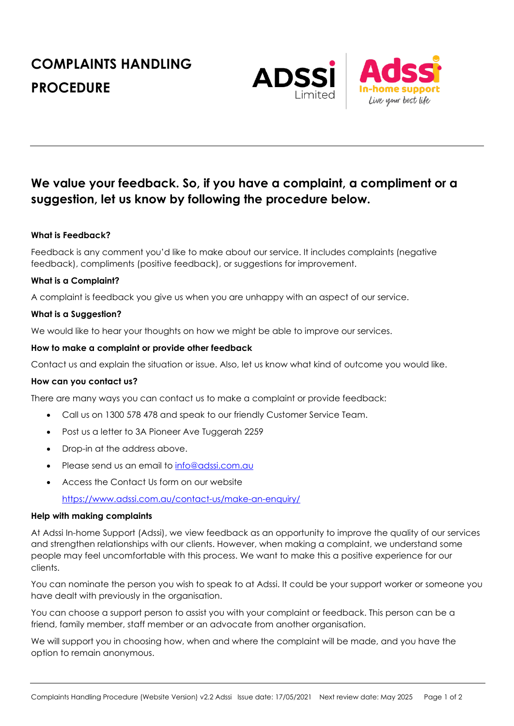# **COMPLAINTS HANDLING PROCEDURE**



# **We value your feedback. So, if you have a complaint, a compliment or a suggestion, let us know by following the procedure below.**

# **What is Feedback?**

Feedback is any comment you'd like to make about our service. It includes complaints (negative feedback), compliments (positive feedback), or suggestions for improvement.

# **What is a Complaint?**

A complaint is feedback you give us when you are unhappy with an aspect of our service.

# **What is a Suggestion?**

We would like to hear your thoughts on how we might be able to improve our services.

# **How to make a complaint or provide other feedback**

Contact us and explain the situation or issue. Also, let us know what kind of outcome you would like.

#### **How can you contact us?**

There are many ways you can contact us to make a complaint or provide feedback:

- Call us on 1300 578 478 and speak to our friendly Customer Service Team.
- Post us a letter to 3A Pioneer Ave Tuggerah 2259
- Drop-in at the address above.
- Please send us an email to info@adssi.com.au
- Access the Contact Us form on our website

https://www.adssi.com.au/contact-us/make-an-enquiry/

#### **Help with making complaints**

At Adssi In-home Support (Adssi), we view feedback as an opportunity to improve the quality of our services and strengthen relationships with our clients. However, when making a complaint, we understand some people may feel uncomfortable with this process. We want to make this a positive experience for our clients.

You can nominate the person you wish to speak to at Adssi. It could be your support worker or someone you have dealt with previously in the organisation.

You can choose a support person to assist you with your complaint or feedback. This person can be a friend, family member, staff member or an advocate from another organisation.

We will support you in choosing how, when and where the complaint will be made, and you have the option to remain anonymous.